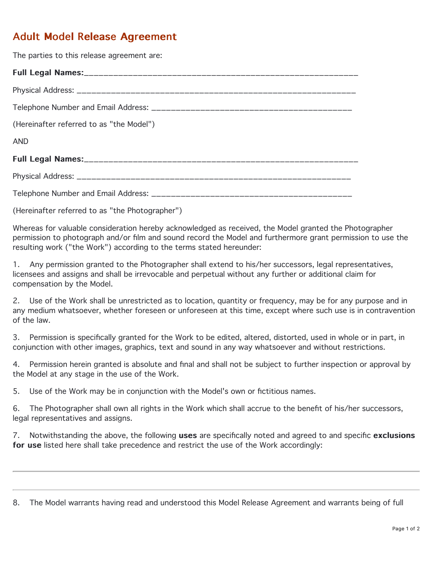## **Adult Model Release Agreement**

The parties to this release agreement are: Full Legal Names: Full Legal Names:\_\_\_\_\_\_\_\_\_\_\_\_\_\_\_\_\_\_\_\_\_\_\_\_\_\_\_\_\_\_\_\_\_\_\_\_\_\_\_\_\_\_\_\_\_\_\_\_\_\_\_\_\_\_\_\_ Physical Address: \_\_\_\_\_\_\_\_\_\_\_\_\_\_\_\_\_\_\_\_\_\_\_\_\_\_\_\_\_\_\_\_\_\_\_\_\_\_\_\_\_\_\_\_\_\_\_\_\_\_\_\_\_\_\_\_\_ Telephone Number and Email Address: \_\_\_\_\_\_\_\_\_\_\_\_\_\_\_\_\_\_\_\_\_\_\_\_\_\_\_\_\_\_\_\_\_\_\_\_\_\_\_\_\_ (Hereinafter referred to as "the Model") AND Full Legal Names: Full Legal Names:\_\_\_\_\_\_\_\_\_\_\_\_\_\_\_\_\_\_\_\_\_\_\_\_\_\_\_\_\_\_\_\_\_\_\_\_\_\_\_\_\_\_\_\_\_\_\_\_\_\_\_\_\_\_\_\_ Physical Address: \_\_\_\_\_\_\_\_\_\_\_\_\_\_\_\_\_\_\_\_\_\_\_\_\_\_\_\_\_\_\_\_\_\_\_\_\_\_\_\_\_\_\_\_\_\_\_\_\_\_\_\_\_\_\_\_ Telephone Number and Email Address: \_\_\_\_\_\_\_\_\_\_\_\_\_\_\_\_\_\_\_\_\_\_\_\_\_\_\_\_\_\_\_\_\_\_\_\_\_\_\_\_\_

(Hereinafter referred to as "the Photographer")

Whereas for valuable consideration hereby acknowledged as received, the Model granted the Photographer permission to photograph and/or film and sound record the Model and furthermore grant permission to use the resulting work ("the Work") according to the terms stated hereunder:

1. Any permission granted to the Photographer shall extend to his/her successors, legal representatives, licensees and assigns and shall be irrevocable and perpetual without any further or additional claim for compensation by the Model.

2. Use of the Work shall be unrestricted as to location, quantity or frequency, may be for any purpose and in any medium whatsoever, whether foreseen or unforeseen at this time, except where such use is in contravention of the law.

3. Permission is specifically granted for the Work to be edited, altered, distorted, used in whole or in part, in conjunction with other images, graphics, text and sound in any way whatsoever and without restrictions.

4. Permission herein granted is absolute and final and shall not be subject to further inspection or approval by the Model at any stage in the use of the Work.

5. Use of the Work may be in conjunction with the Model's own or fictitious names.

6. The Photographer shall own all rights in the Work which shall accrue to the benefit of his/her successors, legal representatives and assigns.

7. Notwithstanding the above, the following uses are specifically noted and agreed to and specific exclusions for use listed here shall take precedence and restrict the use of the Work accordingly:

8. The Model warrants having read and understood this Model Release Agreement and warrants being of full